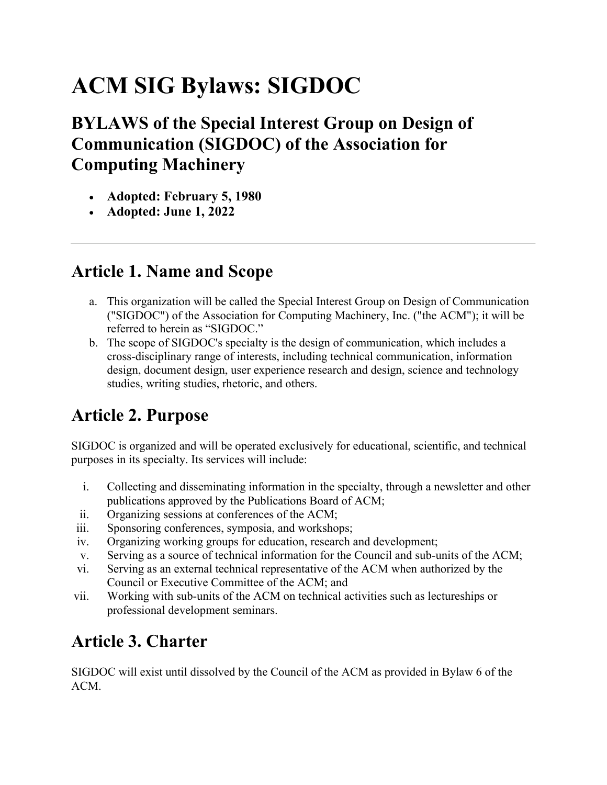# **ACM SIG Bylaws: SIGDOC**

## **BYLAWS of the Special Interest Group on Design of Communication (SIGDOC) of the Association for Computing Machinery**

- **Adopted: February 5, 1980**
- **Adopted: June 1, 2022**

## **Article 1. Name and Scope**

- a. This organization will be called the Special Interest Group on Design of Communication ("SIGDOC") of the Association for Computing Machinery, Inc. ("the ACM"); it will be referred to herein as "SIGDOC."
- b. The scope of SIGDOC's specialty is the design of communication, which includes a cross-disciplinary range of interests, including technical communication, information design, document design, user experience research and design, science and technology studies, writing studies, rhetoric, and others.

# **Article 2. Purpose**

SIGDOC is organized and will be operated exclusively for educational, scientific, and technical purposes in its specialty. Its services will include:

- i. Collecting and disseminating information in the specialty, through a newsletter and other publications approved by the Publications Board of ACM;
- ii. Organizing sessions at conferences of the ACM;
- iii. Sponsoring conferences, symposia, and workshops;
- iv. Organizing working groups for education, research and development;
- v. Serving as a source of technical information for the Council and sub-units of the ACM;
- vi. Serving as an external technical representative of the ACM when authorized by the Council or Executive Committee of the ACM; and
- vii. Working with sub-units of the ACM on technical activities such as lectureships or professional development seminars.

# **Article 3. Charter**

SIGDOC will exist until dissolved by the Council of the ACM as provided in Bylaw 6 of the ACM.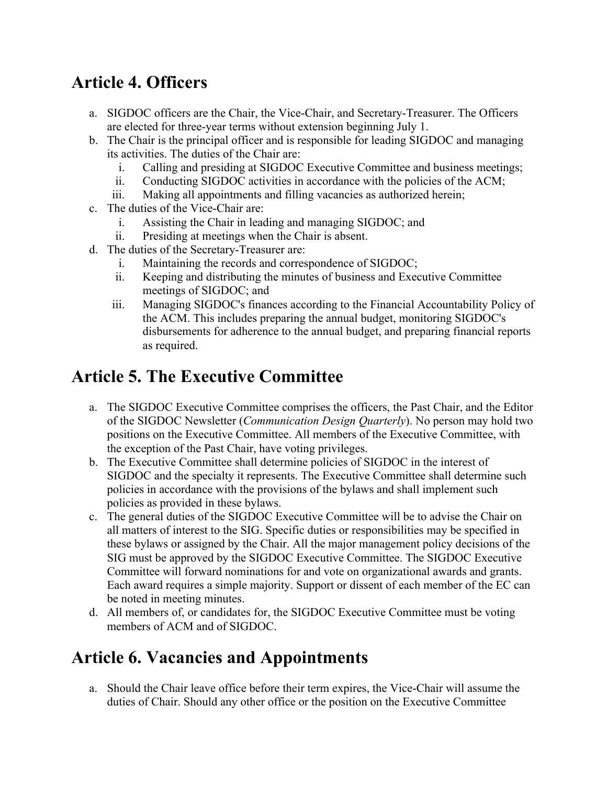## **Article 4. Officers**

- a. SIGDOC officers are the Chair, the Vice-Chair, and Secretary-Treasurer. The Officers are elected for three-year terms without extension beginning July 1.
- b. The Chair is the principal officer and is responsible for leading SIGDOC and managing its activities. The duties of the Chair are:
	- i. Calling and presiding at SIGDOC Executive Committee and business meetings;
	- ii. Conducting SIGDOC activities in accordance with the policies of the ACM;
	- iii. Making all appointments and filling vacancies as authorized herein;
- c. The duties of the Vice-Chair are:
	- i. Assisting the Chair in leading and managing SIGDOC; and
	- ii. Presiding at meetings when the Chair is absent.
- d. The duties of the Secretary-Treasurer are:
	- i. Maintaining the records and correspondence of SIGDOC;
	- ii. Keeping and distributing the minutes of business and Executive Committee meetings of SIGDOC; and
	- iii. Managing SIGDOC's finances according to the Financial Accountability Policy of the ACM. This includes preparing the annual budget, monitoring SIGDOC's disbursements for adherence to the annual budget, and preparing financial reports as required.

## **Article 5. The Executive Committee**

- a. The SIGDOC Executive Committee comprises the officers, the Past Chair, and the Editor of the SIGDOC Newsletter (*Communication Design Quarterly*). No person may hold two positions on the Executive Committee. All members of the Executive Committee, with the exception of the Past Chair, have voting privileges.
- b. The Executive Committee shall determine policies of SIGDOC in the interest of SIGDOC and the specialty it represents. The Executive Committee shall determine such policies in accordance with the provisions of the bylaws and shall implement such policies as provided in these bylaws.
- c. The general duties of the SIGDOC Executive Committee will be to advise the Chair on all matters of interest to the SIG. Specific duties or responsibilities may be specified in these bylaws or assigned by the Chair. All the major management policy decisions of the SIG must be approved by the SIGDOC Executive Committee. The SIGDOC Executive Committee will forward nominations for and vote on organizational awards and grants. Each award requires a simple majority. Support or dissent of each member of the EC can be noted in meeting minutes.
- d. All members of, or candidates for, the SIGDOC Executive Committee must be voting members of ACM and of SIGDOC.

#### **Article 6. Vacancies and Appointments**

a. Should the Chair leave office before their term expires, the Vice-Chair will assume the duties of Chair. Should any other office or the position on the Executive Committee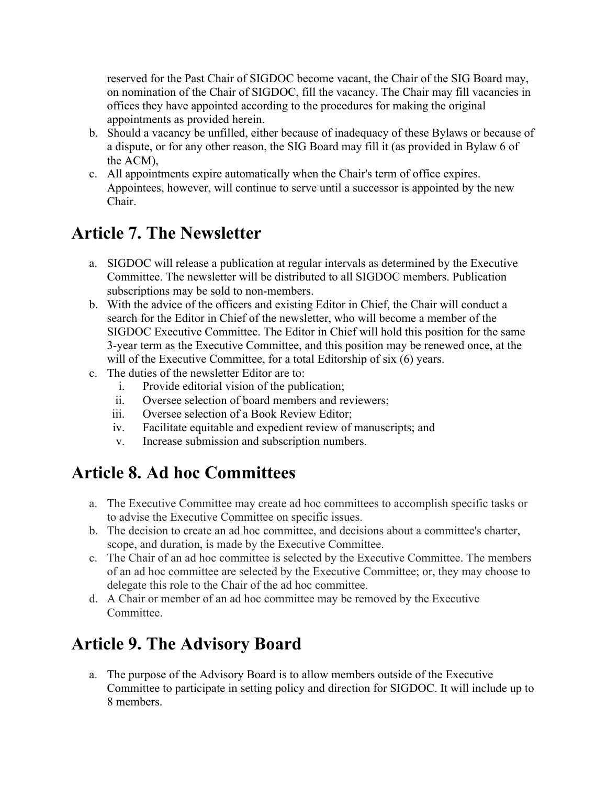reserved for the Past Chair of SIGDOC become vacant, the Chair of the SIG Board may, on nomination of the Chair of SIGDOC, fill the vacancy. The Chair may fill vacancies in offices they have appointed according to the procedures for making the original appointments as provided herein.

- b. Should a vacancy be unfilled, either because of inadequacy of these Bylaws or because of a dispute, or for any other reason, the SIG Board may fill it (as provided in Bylaw 6 of the ACM),
- c. All appointments expire automatically when the Chair's term of office expires. Appointees, however, will continue to serve until a successor is appointed by the new Chair.

## **Article 7. The Newsletter**

- a. SIGDOC will release a publication at regular intervals as determined by the Executive Committee. The newsletter will be distributed to all SIGDOC members. Publication subscriptions may be sold to non-members.
- b. With the advice of the officers and existing Editor in Chief, the Chair will conduct a search for the Editor in Chief of the newsletter, who will become a member of the SIGDOC Executive Committee. The Editor in Chief will hold this position for the same 3-year term as the Executive Committee, and this position may be renewed once, at the will of the Executive Committee, for a total Editorship of six (6) years.
- c. The duties of the newsletter Editor are to:
	- i. Provide editorial vision of the publication;
	- ii. Oversee selection of board members and reviewers;
	- iii. Oversee selection of a Book Review Editor;
	- iv. Facilitate equitable and expedient review of manuscripts; and
	- v. Increase submission and subscription numbers.

## **Article 8. Ad hoc Committees**

- a. The Executive Committee may create ad hoc committees to accomplish specific tasks or to advise the Executive Committee on specific issues.
- b. The decision to create an ad hoc committee, and decisions about a committee's charter, scope, and duration, is made by the Executive Committee.
- c. The Chair of an ad hoc committee is selected by the Executive Committee. The members of an ad hoc committee are selected by the Executive Committee; or, they may choose to delegate this role to the Chair of the ad hoc committee.
- d. A Chair or member of an ad hoc committee may be removed by the Executive Committee.

## **Article 9. The Advisory Board**

a. The purpose of the Advisory Board is to allow members outside of the Executive Committee to participate in setting policy and direction for SIGDOC. It will include up to 8 members.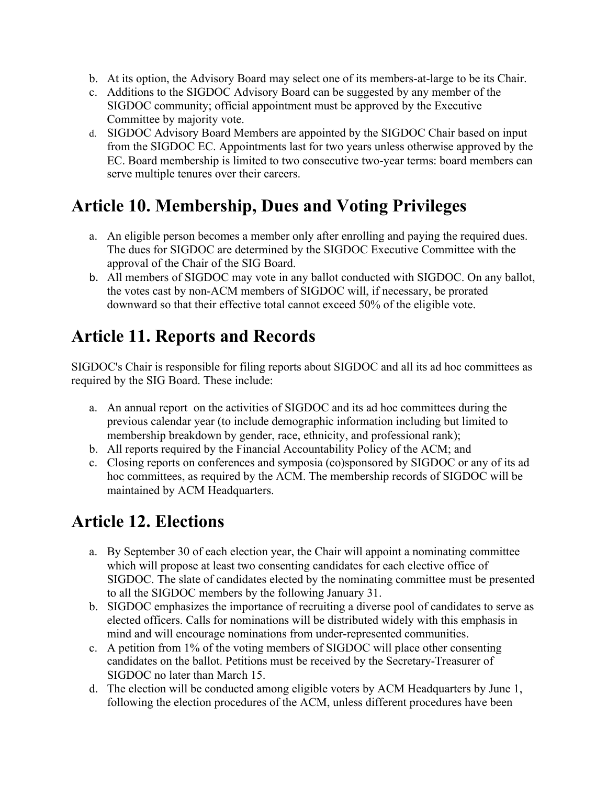- b. At its option, the Advisory Board may select one of its members-at-large to be its Chair.
- c. Additions to the SIGDOC Advisory Board can be suggested by any member of the SIGDOC community; official appointment must be approved by the Executive Committee by majority vote.
- d. SIGDOC Advisory Board Members are appointed by the SIGDOC Chair based on input from the SIGDOC EC. Appointments last for two years unless otherwise approved by the EC. Board membership is limited to two consecutive two-year terms: board members can serve multiple tenures over their careers.

## **Article 10. Membership, Dues and Voting Privileges**

- a. An eligible person becomes a member only after enrolling and paying the required dues. The dues for SIGDOC are determined by the SIGDOC Executive Committee with the approval of the Chair of the SIG Board.
- b. All members of SIGDOC may vote in any ballot conducted with SIGDOC. On any ballot, the votes cast by non-ACM members of SIGDOC will, if necessary, be prorated downward so that their effective total cannot exceed 50% of the eligible vote.

## **Article 11. Reports and Records**

SIGDOC's Chair is responsible for filing reports about SIGDOC and all its ad hoc committees as required by the SIG Board. These include:

- a. An annual report on the activities of SIGDOC and its ad hoc committees during the previous calendar year (to include demographic information including but limited to membership breakdown by gender, race, ethnicity, and professional rank);
- b. All reports required by the Financial Accountability Policy of the ACM; and
- c. Closing reports on conferences and symposia (co)sponsored by SIGDOC or any of its ad hoc committees, as required by the ACM. The membership records of SIGDOC will be maintained by ACM Headquarters.

# **Article 12. Elections**

- a. By September 30 of each election year, the Chair will appoint a nominating committee which will propose at least two consenting candidates for each elective office of SIGDOC. The slate of candidates elected by the nominating committee must be presented to all the SIGDOC members by the following January 31.
- b. SIGDOC emphasizes the importance of recruiting a diverse pool of candidates to serve as elected officers. Calls for nominations will be distributed widely with this emphasis in mind and will encourage nominations from under-represented communities.
- c. A petition from 1% of the voting members of SIGDOC will place other consenting candidates on the ballot. Petitions must be received by the Secretary-Treasurer of SIGDOC no later than March 15.
- d. The election will be conducted among eligible voters by ACM Headquarters by June 1, following the election procedures of the ACM, unless different procedures have been